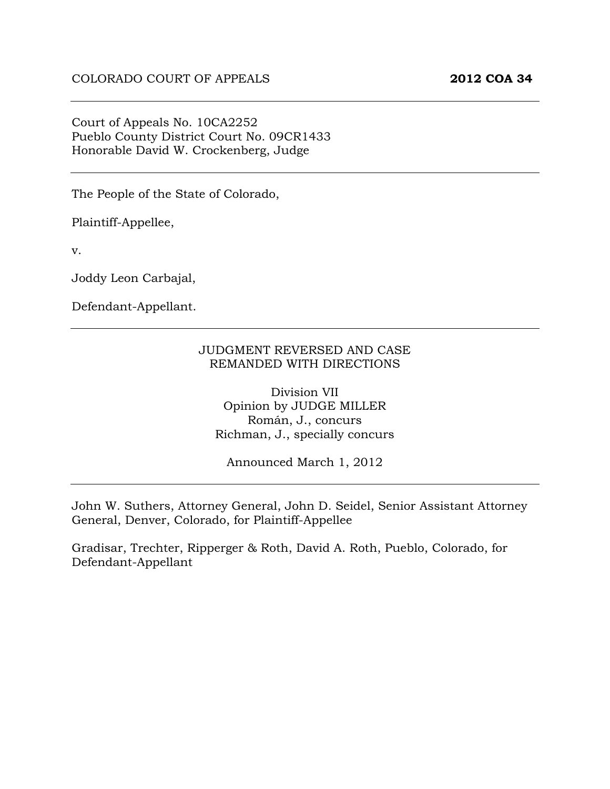### Court of Appeals No. 10CA2252 Pueblo County District Court No. 09CR1433 Honorable David W. Crockenberg, Judge

The People of the State of Colorado,

Plaintiff-Appellee,

v.

Joddy Leon Carbajal,

Defendant-Appellant.

### JUDGMENT REVERSED AND CASE REMANDED WITH DIRECTIONS

Division VII Opinion by JUDGE MILLER Román, J., concurs Richman, J., specially concurs

Announced March 1, 2012

John W. Suthers, Attorney General, John D. Seidel, Senior Assistant Attorney General, Denver, Colorado, for Plaintiff-Appellee

Gradisar, Trechter, Ripperger & Roth, David A. Roth, Pueblo, Colorado, for Defendant-Appellant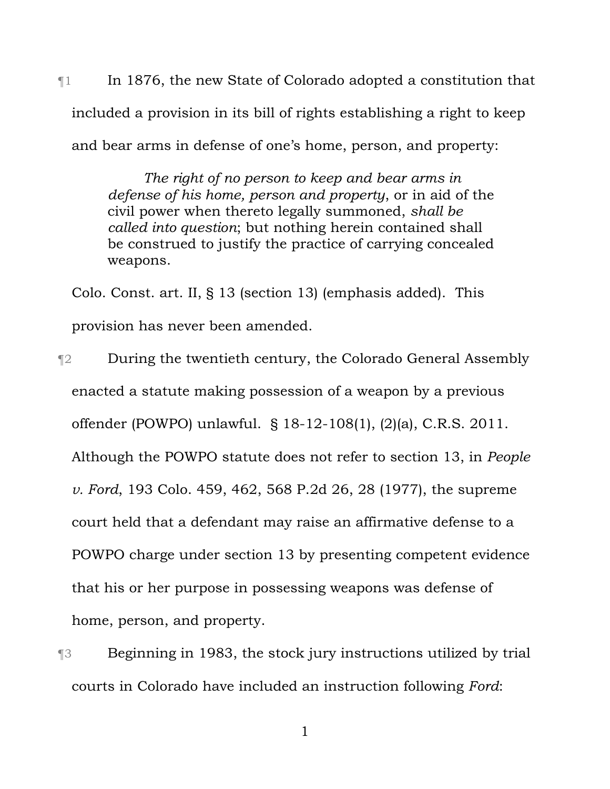$\mathbb{I}$  In 1876, the new State of Colorado adopted a constitution that included a provision in its bill of rights establishing a right to keep and bear arms in defense of one's home, person, and property:

> *The right of no person to keep and bear arms in defense of his home, person and property*, or in aid of the civil power when thereto legally summoned, *shall be called into question*; but nothing herein contained shall be construed to justify the practice of carrying concealed weapons.

Colo. Const. art. II, § 13 (section 13) (emphasis added). This provision has never been amended.

¶2 During the twentieth century, the Colorado General Assembly enacted a statute making possession of a weapon by a previous offender (POWPO) unlawful. § 18-12-108(1), (2)(a), C.R.S. 2011. Although the POWPO statute does not refer to section 13, in *People v. Ford*, 193 Colo. 459, 462, 568 P.2d 26, 28 (1977), the supreme court held that a defendant may raise an affirmative defense to a POWPO charge under section 13 by presenting competent evidence that his or her purpose in possessing weapons was defense of home, person, and property.

¶3 Beginning in 1983, the stock jury instructions utilized by trial courts in Colorado have included an instruction following *Ford*: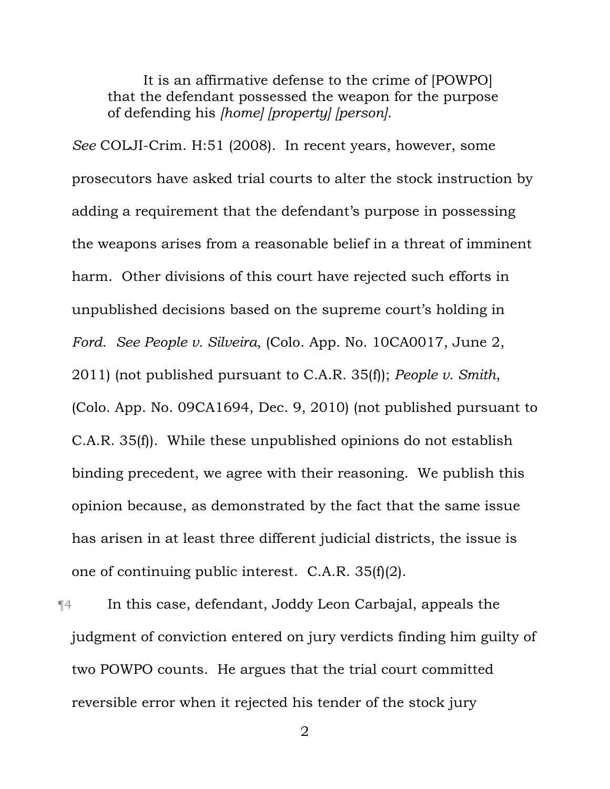It is an affirmative defense to the crime of [POWPO] that the defendant possessed the weapon for the purpose of defending his *[home] [property] [person]*.

*See* COLJI-Crim. H:51 (2008). In recent years, however, some prosecutors have asked trial courts to alter the stock instruction by adding a requirement that the defendant's purpose in possessing the weapons arises from a reasonable belief in a threat of imminent harm. Other divisions of this court have rejected such efforts in unpublished decisions based on the supreme court's holding in *Ford*. *See People v. Silveira*, (Colo. App. No. 10CA0017, June 2, 2011) (not published pursuant to C.A.R. 35(f)); *People v. Smith*, (Colo. App. No. 09CA1694, Dec. 9, 2010) (not published pursuant to C.A.R. 35(f)). While these unpublished opinions do not establish binding precedent, we agree with their reasoning. We publish this opinion because, as demonstrated by the fact that the same issue has arisen in at least three different judicial districts, the issue is one of continuing public interest. C.A.R. 35(f)(2).

¶4 In this case, defendant, Joddy Leon Carbajal, appeals the judgment of conviction entered on jury verdicts finding him guilty of two POWPO counts. He argues that the trial court committed reversible error when it rejected his tender of the stock jury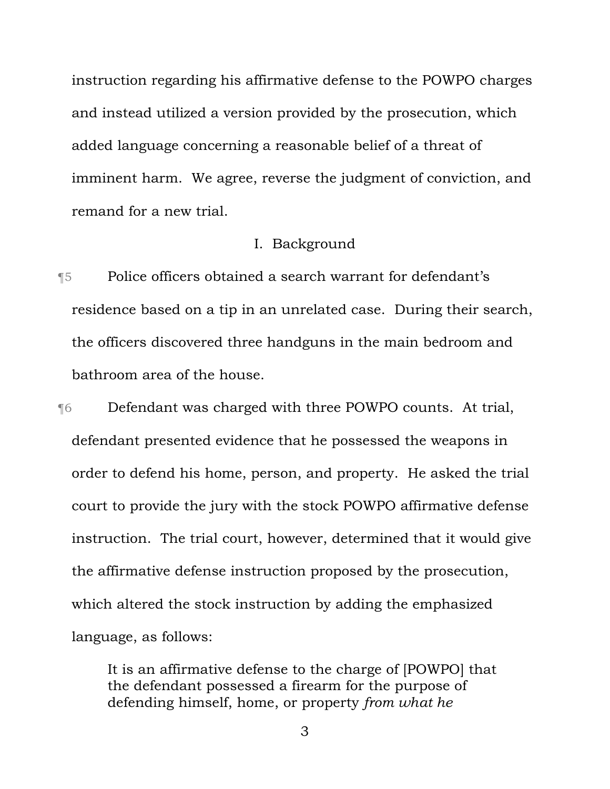instruction regarding his affirmative defense to the POWPO charges and instead utilized a version provided by the prosecution, which added language concerning a reasonable belief of a threat of imminent harm. We agree, reverse the judgment of conviction, and remand for a new trial.

### I. Background

¶5 Police officers obtained a search warrant for defendant's residence based on a tip in an unrelated case. During their search, the officers discovered three handguns in the main bedroom and bathroom area of the house.

¶6 Defendant was charged with three POWPO counts. At trial, defendant presented evidence that he possessed the weapons in order to defend his home, person, and property. He asked the trial court to provide the jury with the stock POWPO affirmative defense instruction. The trial court, however, determined that it would give the affirmative defense instruction proposed by the prosecution, which altered the stock instruction by adding the emphasized language, as follows:

> It is an affirmative defense to the charge of [POWPO] that the defendant possessed a firearm for the purpose of defending himself, home, or property *from what he*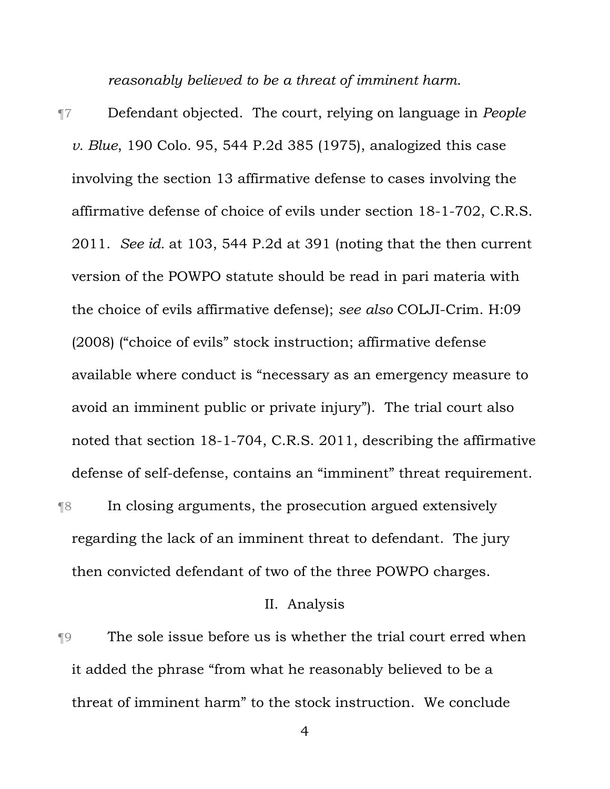*reasonably believed to be a threat of imminent harm*.

¶7 Defendant objected. The court, relying on language in *People v. Blue*, 190 Colo. 95, 544 P.2d 385 (1975), analogized this case involving the section 13 affirmative defense to cases involving the affirmative defense of choice of evils under section 18-1-702, C.R.S. 2011. *See id.* at 103, 544 P.2d at 391 (noting that the then current version of the POWPO statute should be read in pari materia with the choice of evils affirmative defense); *see also* COLJI-Crim. H:09 (2008) ("choice of evils" stock instruction; affirmative defense available where conduct is "necessary as an emergency measure to avoid an imminent public or private injury"). The trial court also noted that section 18-1-704, C.R.S. 2011, describing the affirmative defense of self-defense, contains an "imminent" threat requirement. ¶8 In closing arguments, the prosecution argued extensively regarding the lack of an imminent threat to defendant. The jury

then convicted defendant of two of the three POWPO charges.

## II. Analysis

¶9 The sole issue before us is whether the trial court erred when it added the phrase "from what he reasonably believed to be a threat of imminent harm" to the stock instruction. We conclude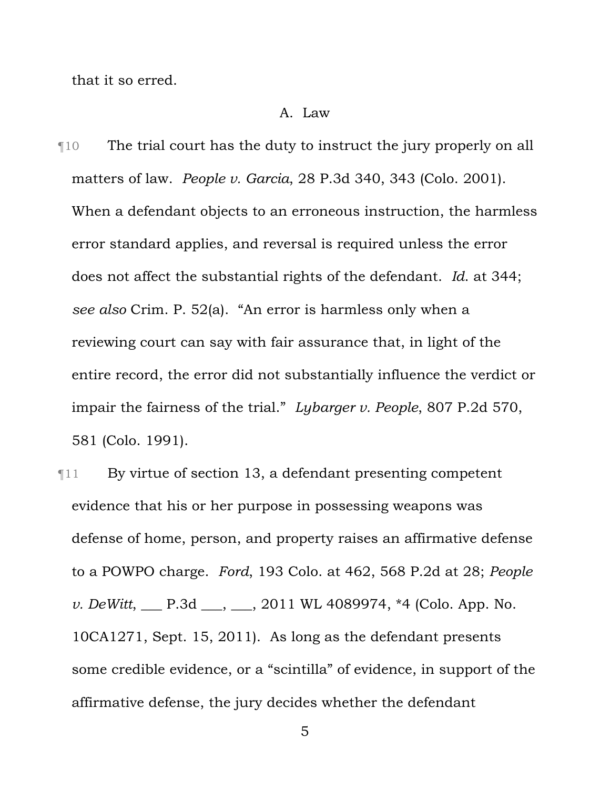that it so erred.

#### A. Law

¶10 The trial court has the duty to instruct the jury properly on all matters of law. *People v. Garcia*, 28 P.3d 340, 343 (Colo. 2001). When a defendant objects to an erroneous instruction, the harmless error standard applies, and reversal is required unless the error does not affect the substantial rights of the defendant. *Id*. at 344; *see also* Crim. P. 52(a). "An error is harmless only when a reviewing court can say with fair assurance that, in light of the entire record, the error did not substantially influence the verdict or impair the fairness of the trial." *Lybarger v. People*, 807 P.2d 570, 581 (Colo. 1991).

¶11 By virtue of section 13, a defendant presenting competent evidence that his or her purpose in possessing weapons was defense of home, person, and property raises an affirmative defense to a POWPO charge. *Ford*, 193 Colo. at 462, 568 P.2d at 28; *People v. DeWitt*, <u>\_\_\_</u> P.3d \_\_\_, \_\_\_, 2011 WL 4089974, \*4 (Colo. App. No. 10CA1271, Sept. 15, 2011). As long as the defendant presents some credible evidence, or a "scintilla" of evidence, in support of the affirmative defense, the jury decides whether the defendant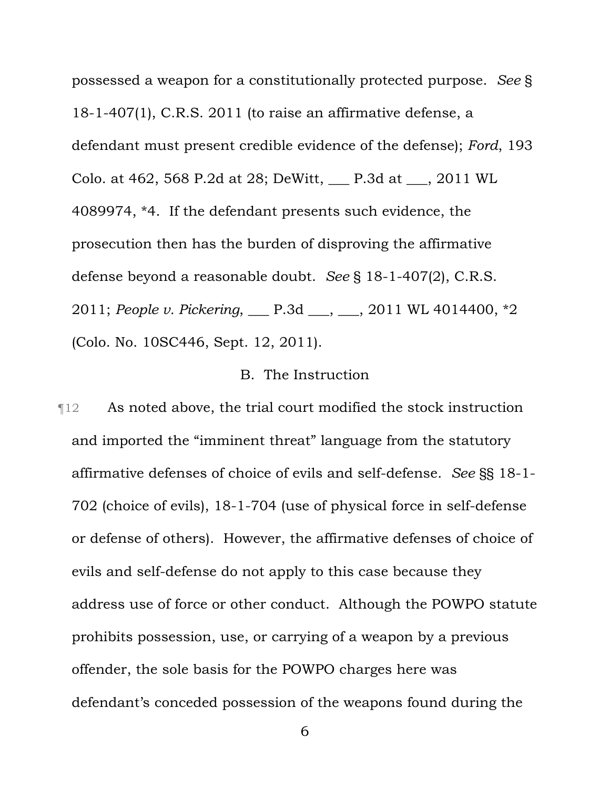possessed a weapon for a constitutionally protected purpose. *See* § 18-1-407(1), C.R.S. 2011 (to raise an affirmative defense, a defendant must present credible evidence of the defense); *Ford*, 193 Colo. at 462, 568 P.2d at 28; DeWitt, \_\_\_ P.3d at \_\_\_, 2011 WL 4089974, \*4. If the defendant presents such evidence, the prosecution then has the burden of disproving the affirmative defense beyond a reasonable doubt. *See* § 18-1-407(2), C.R.S. 2011; *People v. Pickering*, \_\_\_ P.3d \_\_\_, \_\_\_, 2011 WL 4014400, \*2 (Colo. No. 10SC446, Sept. 12, 2011).

### B. The Instruction

¶12 As noted above, the trial court modified the stock instruction and imported the "imminent threat" language from the statutory affirmative defenses of choice of evils and self-defense. *See* §§ 18-1- 702 (choice of evils), 18-1-704 (use of physical force in self-defense or defense of others). However, the affirmative defenses of choice of evils and self-defense do not apply to this case because they address use of force or other conduct. Although the POWPO statute prohibits possession, use, or carrying of a weapon by a previous offender, the sole basis for the POWPO charges here was defendant's conceded possession of the weapons found during the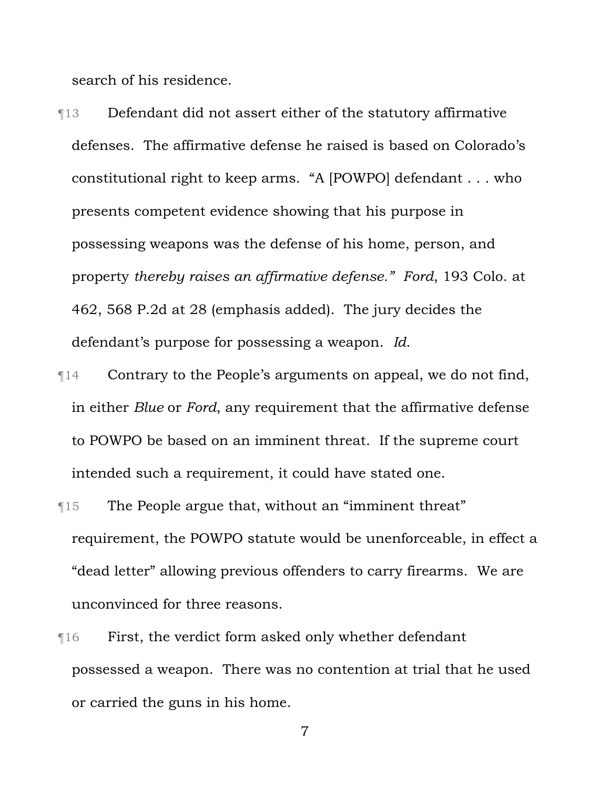search of his residence.

¶13 Defendant did not assert either of the statutory affirmative defenses. The affirmative defense he raised is based on Colorado's constitutional right to keep arms. "A [POWPO] defendant . . . who presents competent evidence showing that his purpose in possessing weapons was the defense of his home, person, and property *thereby raises an affirmative defense." Ford*, 193 Colo. at 462, 568 P.2d at 28 (emphasis added). The jury decides the defendant's purpose for possessing a weapon. *Id*.

- ¶14 Contrary to the People's arguments on appeal, we do not find, in either *Blue* or *Ford*, any requirement that the affirmative defense to POWPO be based on an imminent threat. If the supreme court intended such a requirement, it could have stated one.
- ¶15 The People argue that, without an "imminent threat" requirement, the POWPO statute would be unenforceable, in effect a "dead letter" allowing previous offenders to carry firearms. We are unconvinced for three reasons.
- ¶16 First, the verdict form asked only whether defendant possessed a weapon. There was no contention at trial that he used or carried the guns in his home.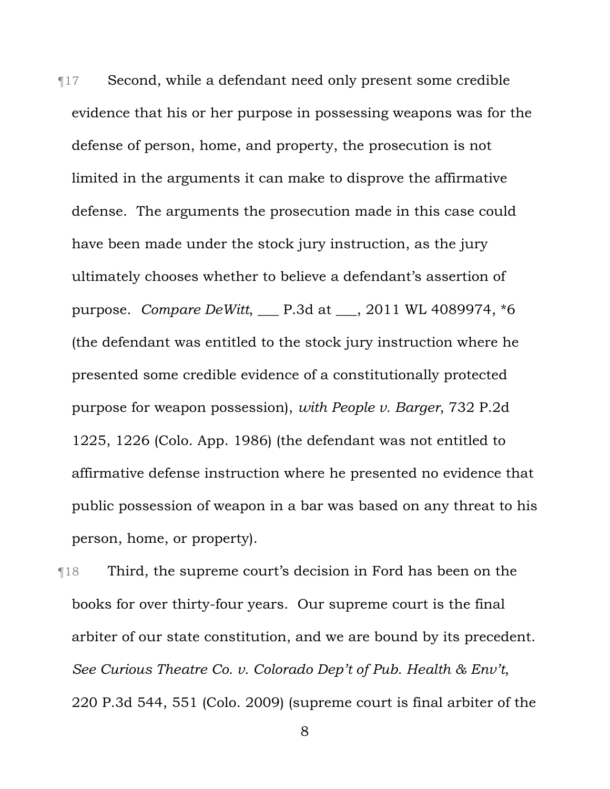¶17 Second, while a defendant need only present some credible evidence that his or her purpose in possessing weapons was for the defense of person, home, and property, the prosecution is not limited in the arguments it can make to disprove the affirmative defense. The arguments the prosecution made in this case could have been made under the stock jury instruction, as the jury ultimately chooses whether to believe a defendant's assertion of purpose. *Compare DeWitt*, \_\_\_ P.3d at \_\_\_, 2011 WL 4089974, \*6 (the defendant was entitled to the stock jury instruction where he presented some credible evidence of a constitutionally protected purpose for weapon possession), *with People v. Barger*, 732 P.2d 1225, 1226 (Colo. App. 1986) (the defendant was not entitled to affirmative defense instruction where he presented no evidence that public possession of weapon in a bar was based on any threat to his person, home, or property).

¶18 Third, the supreme court's decision in Ford has been on the books for over thirty-four years. Our supreme court is the final arbiter of our state constitution, and we are bound by its precedent. *See Curious Theatre Co. v. Colorado Dep't of Pub. Health & Env't*, 220 P.3d 544, 551 (Colo. 2009) (supreme court is final arbiter of the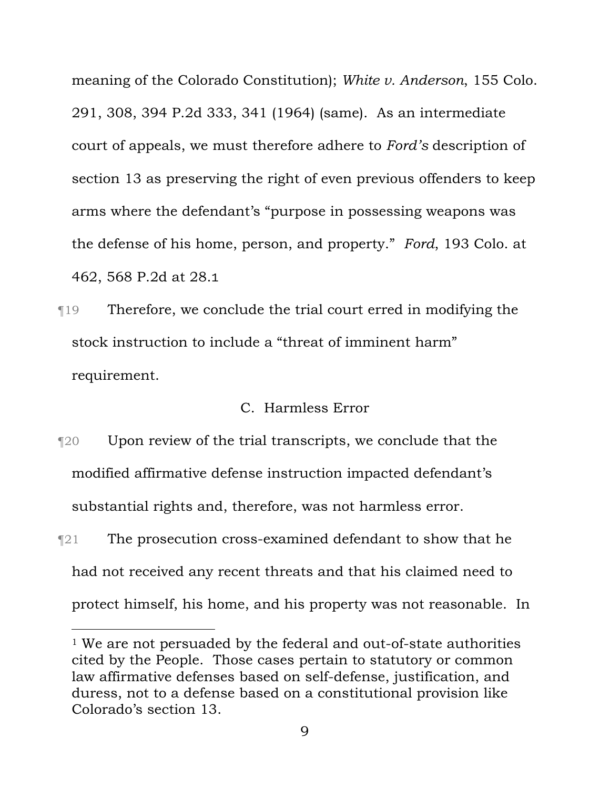meaning of the Colorado Constitution); *White v. Anderson*, 155 Colo. 291, 308, 394 P.2d 333, 341 (1964) (same). As an intermediate court of appeals, we must therefore adhere to *Ford's* description of section 13 as preserving the right of even previous offenders to keep arms where the defendant's "purpose in possessing weapons was the defense of his home, person, and property." *Ford*, 193 Colo. at 462, 568 P.2d at 28.1

¶19 Therefore, we conclude the trial court erred in modifying the stock instruction to include a "threat of imminent harm" requirement.

## C. Harmless Error

- ¶20 Upon review of the trial transcripts, we conclude that the modified affirmative defense instruction impacted defendant's substantial rights and, therefore, was not harmless error.
- **The prosecution cross-examined defendant to show that he** had not received any recent threats and that his claimed need to protect himself, his home, and his property was not reasonable. In

i<br>Li

<sup>&</sup>lt;sup>1</sup> We are not persuaded by the federal and out-of-state authorities cited by the People. Those cases pertain to statutory or common law affirmative defenses based on self-defense, justification, and duress, not to a defense based on a constitutional provision like Colorado's section 13.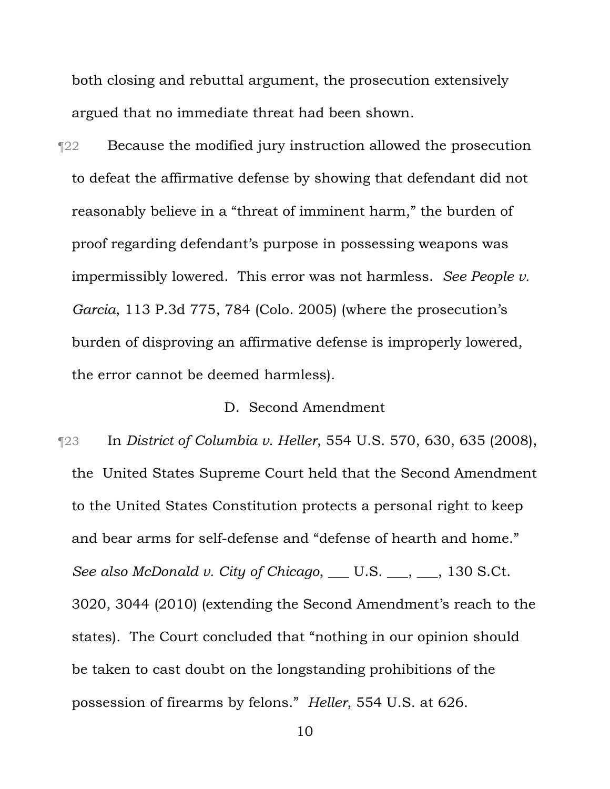both closing and rebuttal argument, the prosecution extensively argued that no immediate threat had been shown.

¶22 Because the modified jury instruction allowed the prosecution to defeat the affirmative defense by showing that defendant did not reasonably believe in a "threat of imminent harm," the burden of proof regarding defendant's purpose in possessing weapons was impermissibly lowered. This error was not harmless. *See People v. Garcia*, 113 P.3d 775, 784 (Colo. 2005) (where the prosecution's burden of disproving an affirmative defense is improperly lowered, the error cannot be deemed harmless).

## D. Second Amendment

¶23 In *District of Columbia v. Heller*, 554 U.S. 570, 630, 635 (2008), the United States Supreme Court held that the Second Amendment to the United States Constitution protects a personal right to keep and bear arms for self-defense and "defense of hearth and home." *See also McDonald v. City of Chicago*, \_\_\_ U.S. \_\_\_, \_\_, 130 S.Ct. 3020, 3044 (2010) (extending the Second Amendment's reach to the states). The Court concluded that "nothing in our opinion should be taken to cast doubt on the longstanding prohibitions of the possession of firearms by felons." *Heller*, 554 U.S. at 626.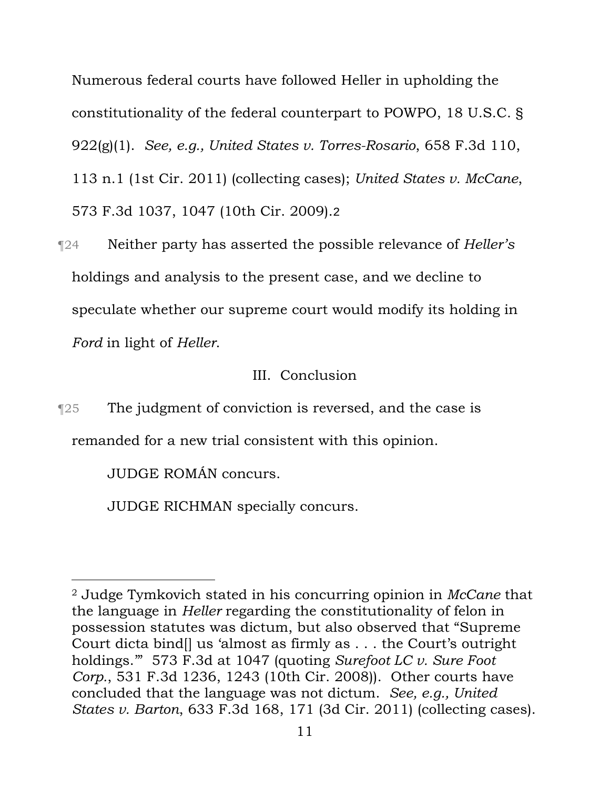Numerous federal courts have followed Heller in upholding the constitutionality of the federal counterpart to POWPO, 18 U.S.C. § 922(g)(1). *See, e.g., United States v. Torres-Rosario*, 658 F.3d 110, 113 n.1 (1st Cir. 2011) (collecting cases); *United States v. McCane*, 573 F.3d 1037, 1047 (10th Cir. 2009).2

¶24 Neither party has asserted the possible relevance of *Heller's* holdings and analysis to the present case, and we decline to speculate whether our supreme court would modify its holding in *Ford* in light of *Heller*.

# III. Conclusion

¶25 The judgment of conviction is reversed, and the case is remanded for a new trial consistent with this opinion.

JUDGE ROMÁN concurs.

i

JUDGE RICHMAN specially concurs.

<sup>2</sup> Judge Tymkovich stated in his concurring opinion in *McCane* that the language in *Heller* regarding the constitutionality of felon in possession statutes was dictum, but also observed that "Supreme Court dicta bind[] us 'almost as firmly as . . . the Court's outright holdings.'" 573 F.3d at 1047 (quoting *Surefoot LC v. Sure Foot Corp.*, 531 F.3d 1236, 1243 (10th Cir. 2008)). Other courts have concluded that the language was not dictum. *See, e.g., United States v. Barton*, 633 F.3d 168, 171 (3d Cir. 2011) (collecting cases).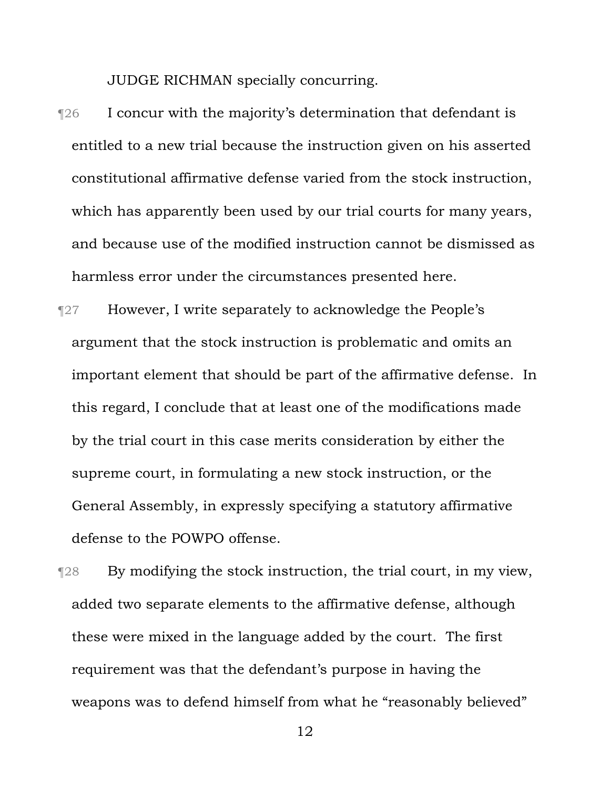JUDGE RICHMAN specially concurring.

- ¶26 I concur with the majority's determination that defendant is entitled to a new trial because the instruction given on his asserted constitutional affirmative defense varied from the stock instruction, which has apparently been used by our trial courts for many years, and because use of the modified instruction cannot be dismissed as harmless error under the circumstances presented here.
- ¶27 However, I write separately to acknowledge the People's argument that the stock instruction is problematic and omits an important element that should be part of the affirmative defense. In this regard, I conclude that at least one of the modifications made by the trial court in this case merits consideration by either the supreme court, in formulating a new stock instruction, or the General Assembly, in expressly specifying a statutory affirmative defense to the POWPO offense.

¶28 By modifying the stock instruction, the trial court, in my view, added two separate elements to the affirmative defense, although these were mixed in the language added by the court. The first requirement was that the defendant's purpose in having the weapons was to defend himself from what he "reasonably believed"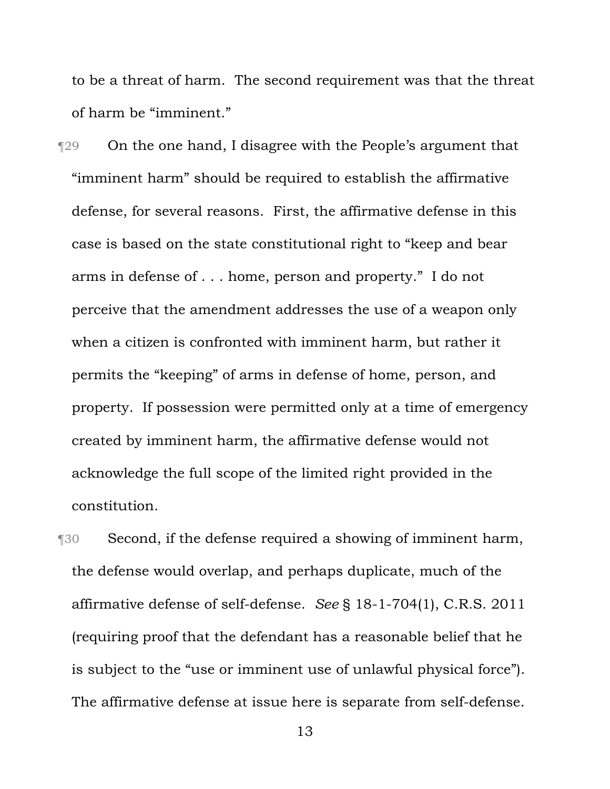to be a threat of harm. The second requirement was that the threat of harm be "imminent."

**The Solution Contract Contract Studies** The People's argument that "imminent harm" should be required to establish the affirmative defense, for several reasons. First, the affirmative defense in this case is based on the state constitutional right to "keep and bear arms in defense of . . . home, person and property." I do not perceive that the amendment addresses the use of a weapon only when a citizen is confronted with imminent harm, but rather it permits the "keeping" of arms in defense of home, person, and property. If possession were permitted only at a time of emergency created by imminent harm, the affirmative defense would not acknowledge the full scope of the limited right provided in the constitution.

¶30 Second, if the defense required a showing of imminent harm, the defense would overlap, and perhaps duplicate, much of the affirmative defense of self-defense. *See* § 18-1-704(1), C.R.S. 2011 (requiring proof that the defendant has a reasonable belief that he is subject to the "use or imminent use of unlawful physical force"). The affirmative defense at issue here is separate from self-defense.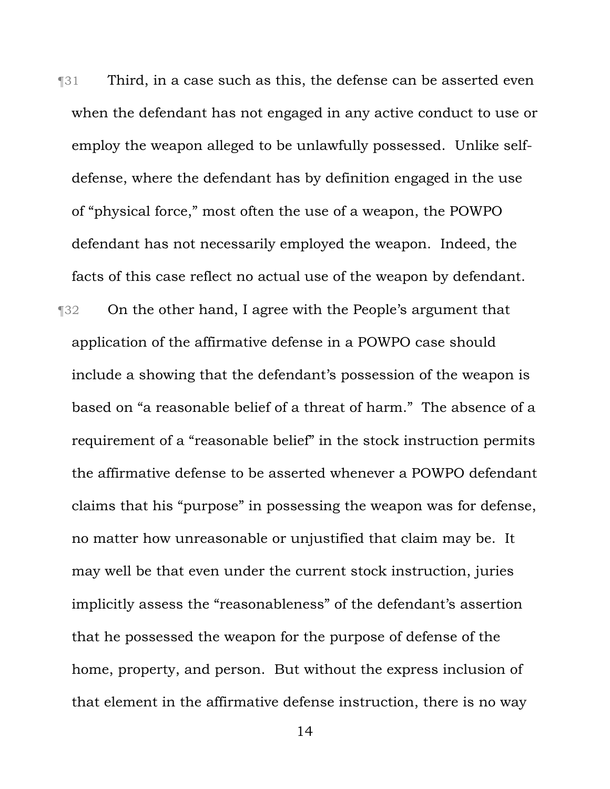¶31 Third, in a case such as this, the defense can be asserted even when the defendant has not engaged in any active conduct to use or employ the weapon alleged to be unlawfully possessed. Unlike selfdefense, where the defendant has by definition engaged in the use of "physical force," most often the use of a weapon, the POWPO defendant has not necessarily employed the weapon. Indeed, the facts of this case reflect no actual use of the weapon by defendant. ¶32 On the other hand, I agree with the People's argument that application of the affirmative defense in a POWPO case should include a showing that the defendant's possession of the weapon is based on "a reasonable belief of a threat of harm." The absence of a requirement of a "reasonable belief" in the stock instruction permits the affirmative defense to be asserted whenever a POWPO defendant claims that his "purpose" in possessing the weapon was for defense, no matter how unreasonable or unjustified that claim may be. It may well be that even under the current stock instruction, juries implicitly assess the "reasonableness" of the defendant's assertion that he possessed the weapon for the purpose of defense of the home, property, and person. But without the express inclusion of that element in the affirmative defense instruction, there is no way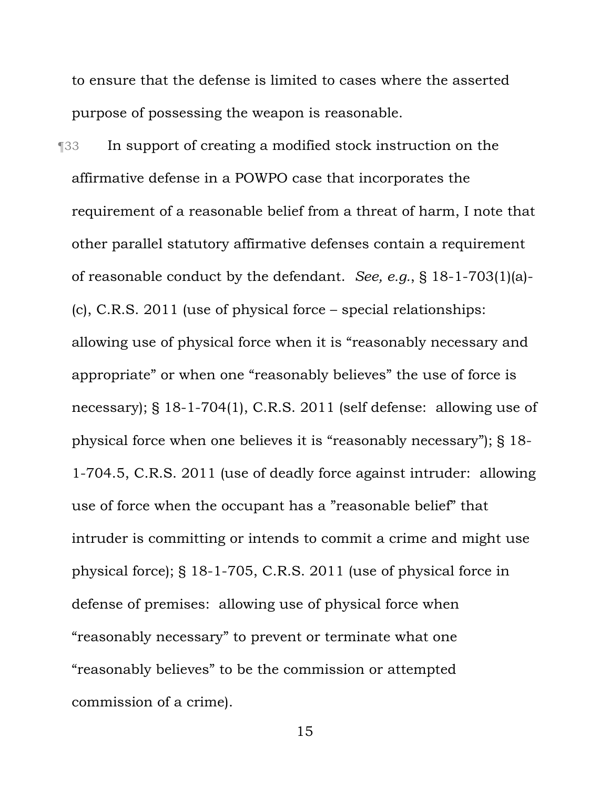to ensure that the defense is limited to cases where the asserted purpose of possessing the weapon is reasonable.

¶33 In support of creating a modified stock instruction on the affirmative defense in a POWPO case that incorporates the requirement of a reasonable belief from a threat of harm, I note that other parallel statutory affirmative defenses contain a requirement of reasonable conduct by the defendant. *See, e.g.*, § 18-1-703(1)(a)- (c), C.R.S. 2011 (use of physical force – special relationships: allowing use of physical force when it is "reasonably necessary and appropriate" or when one "reasonably believes" the use of force is necessary); § 18-1-704(1), C.R.S. 2011 (self defense: allowing use of physical force when one believes it is "reasonably necessary"); § 18- 1-704.5, C.R.S. 2011 (use of deadly force against intruder: allowing use of force when the occupant has a "reasonable belief" that intruder is committing or intends to commit a crime and might use physical force); § 18-1-705, C.R.S. 2011 (use of physical force in defense of premises: allowing use of physical force when "reasonably necessary" to prevent or terminate what one "reasonably believes" to be the commission or attempted commission of a crime).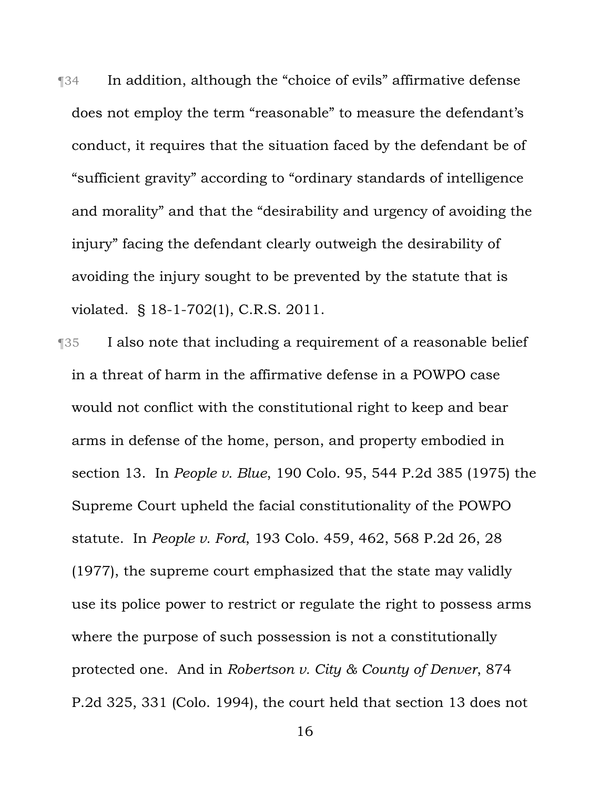¶34 In addition, although the "choice of evils" affirmative defense does not employ the term "reasonable" to measure the defendant's conduct, it requires that the situation faced by the defendant be of "sufficient gravity" according to "ordinary standards of intelligence and morality" and that the "desirability and urgency of avoiding the injury" facing the defendant clearly outweigh the desirability of avoiding the injury sought to be prevented by the statute that is violated. § 18-1-702(1), C.R.S. 2011.

¶35 I also note that including a requirement of a reasonable belief in a threat of harm in the affirmative defense in a POWPO case would not conflict with the constitutional right to keep and bear arms in defense of the home, person, and property embodied in section 13. In *People v. Blue*, 190 Colo. 95, 544 P.2d 385 (1975) the Supreme Court upheld the facial constitutionality of the POWPO statute. In *People v. Ford*, 193 Colo. 459, 462, 568 P.2d 26, 28 (1977), the supreme court emphasized that the state may validly use its police power to restrict or regulate the right to possess arms where the purpose of such possession is not a constitutionally protected one. And in *Robertson v. City & County of Denver*, 874 P.2d 325, 331 (Colo. 1994), the court held that section 13 does not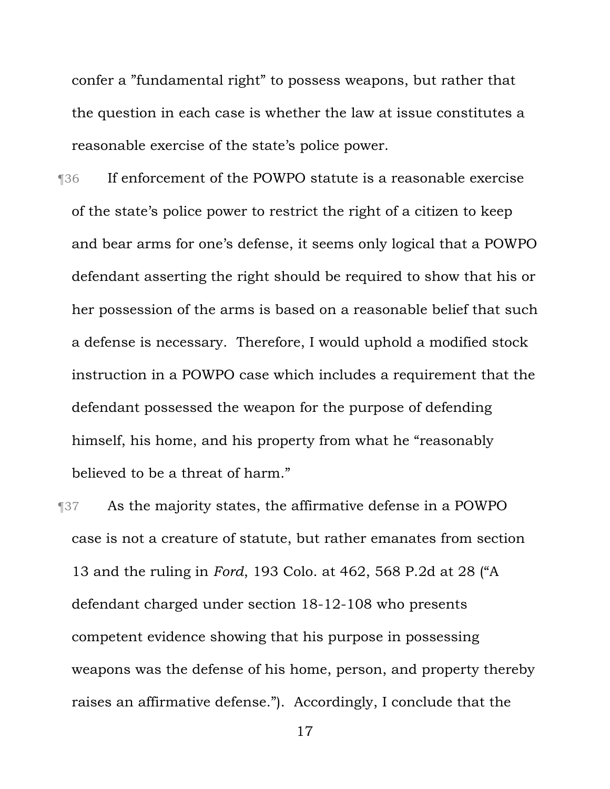confer a "fundamental right" to possess weapons, but rather that the question in each case is whether the law at issue constitutes a reasonable exercise of the state's police power.

- ¶36 If enforcement of the POWPO statute is a reasonable exercise of the state's police power to restrict the right of a citizen to keep and bear arms for one's defense, it seems only logical that a POWPO defendant asserting the right should be required to show that his or her possession of the arms is based on a reasonable belief that such a defense is necessary. Therefore, I would uphold a modified stock instruction in a POWPO case which includes a requirement that the defendant possessed the weapon for the purpose of defending himself, his home, and his property from what he "reasonably believed to be a threat of harm."
- ¶37 As the majority states, the affirmative defense in a POWPO case is not a creature of statute, but rather emanates from section 13 and the ruling in *Ford*, 193 Colo. at 462, 568 P.2d at 28 ("A defendant charged under section 18-12-108 who presents competent evidence showing that his purpose in possessing weapons was the defense of his home, person, and property thereby raises an affirmative defense."). Accordingly, I conclude that the